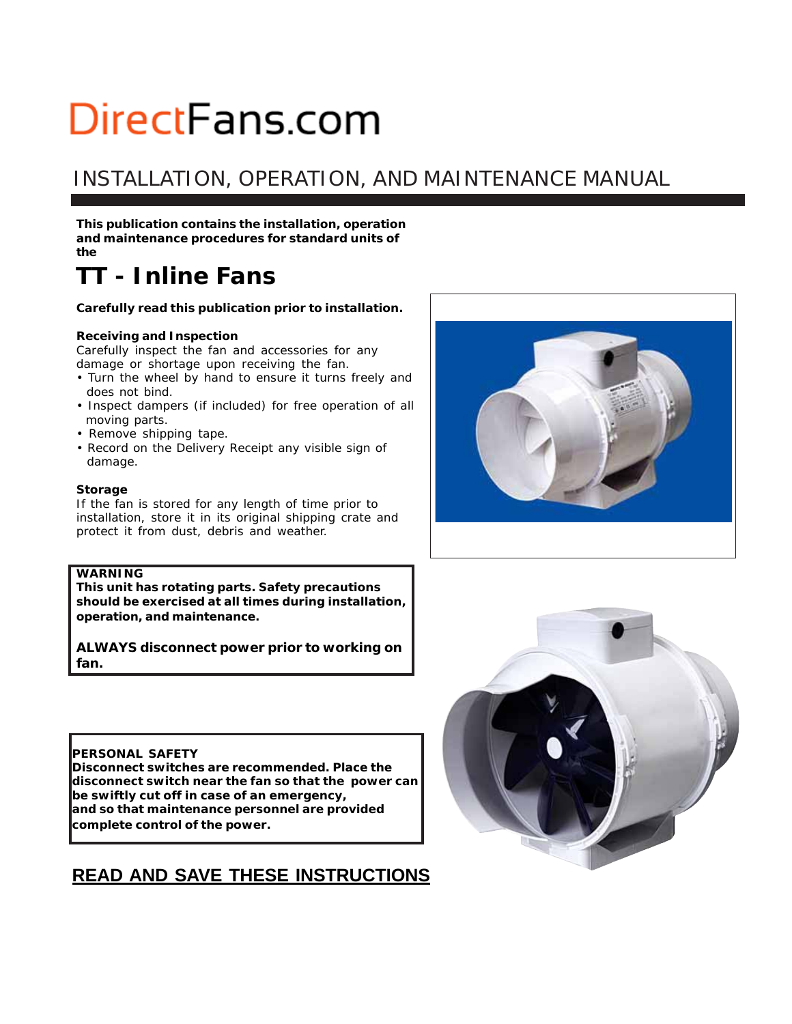# INSTALLATION, OPERATION, AND MAINTENANCE MANUAL

**This publication contains the installation, operation and maintenance procedures for standard units of the**

# *TT - Inline Fans*

#### **Carefully read this publication prior to installation.**

#### **Receiving and Inspection**

Carefully inspect the fan and accessories for any damage or shortage upon receiving the fan.

- Turn the wheel by hand to ensure it turns freely and does not bind.
- Inspect dampers (if included) for free operation of all moving parts.
- Remove shipping tape.
- Record on the *Delivery Receipt* any visible sign of damage.

#### **Storage**

If the fan is stored for any length of time prior to installation, store it in its original shipping crate and protect it from dust, debris and weather.

#### **WARNING**

**This unit has rotating parts. Safety precautions should be exercised at all times during installation, operation, and maintenance.**

**ALWAYS disconnect power prior to working on fan.**

#### **PERSONAL SAFETY**

**Disconnect switches are recommended. Place the disconnect switch near the fan so that the power can be swiftly cut off in case of an emergency, and so that maintenance personnel are provided complete control of the power.**

## **READ AND SAVE THESE INSTRUCTIONS**



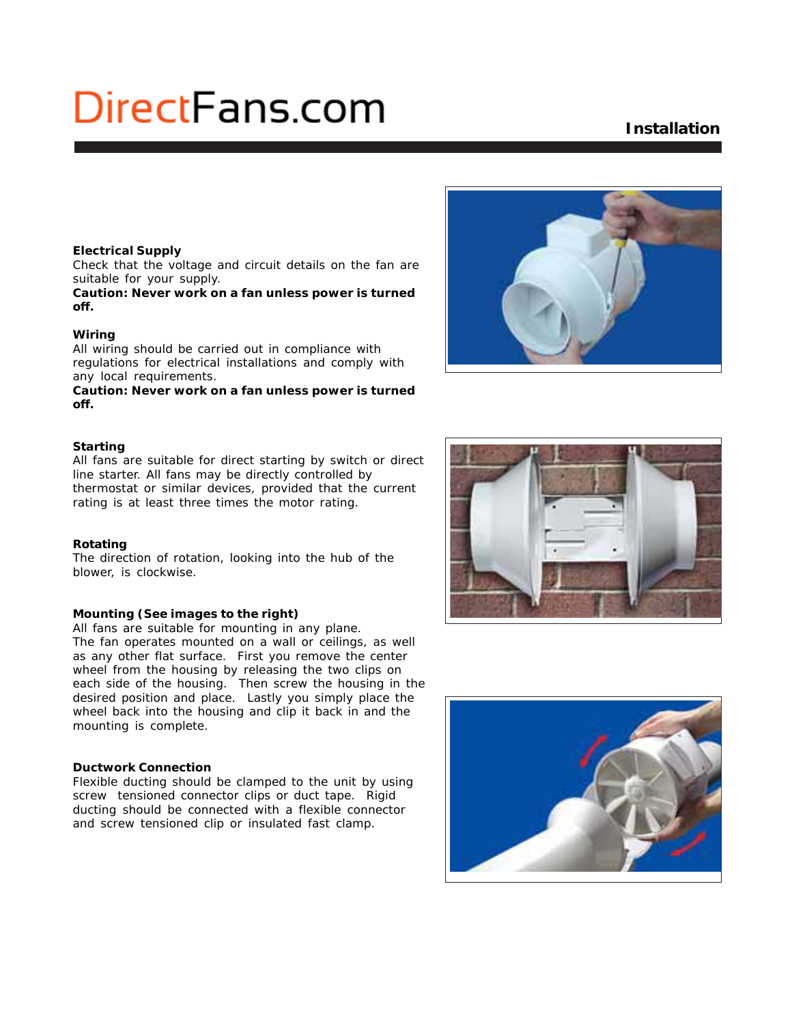## **Installation**

#### **Electrical Supply**

Check that the voltage and circuit details on the fan are suitable for your supply.

**Caution: Never work on a fan unless power is turned off.**

#### **Wiring**

All wiring should be carried out in compliance with regulations for electrical installations and comply with any local requirements.

**Caution: Never work on a fan unless power is turned off.**

#### **Starting**

All fans are suitable for direct starting by switch or direct line starter. All fans may be directly controlled by thermostat or similar devices, provided that the current rating is at least three times the motor rating.

#### **Rotating**

The direction of rotation, looking into the hub of the blower, is clockwise.

#### **Mounting (See images to the right)**

All fans are suitable for mounting in any plane. The fan operates mounted on a wall or ceilings, as well as any other flat surface. First you remove the center wheel from the housing by releasing the two clips on each side of the housing. Then screw the housing in the desired position and place. Lastly you simply place the wheel back into the housing and clip it back in and the mounting is complete.

#### **Ductwork Connection**

Flexible ducting should be clamped to the unit by using screw tensioned connector clips or duct tape. Rigid ducting should be connected with a flexible connector and screw tensioned clip or insulated fast clamp.





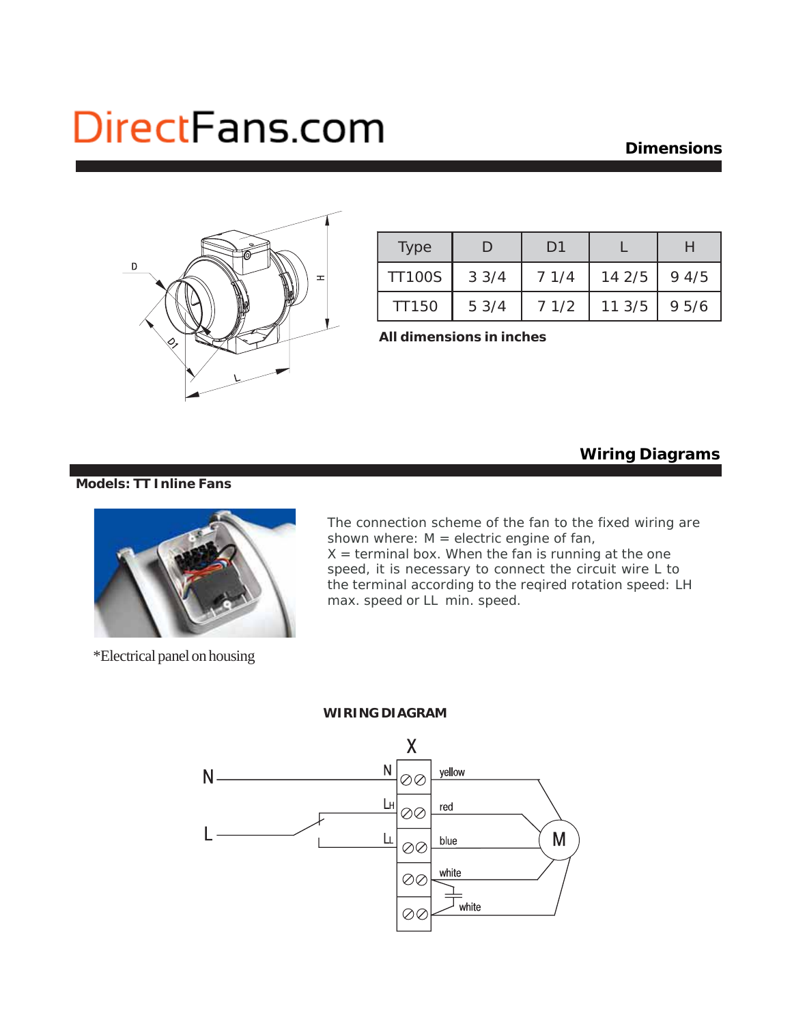### **Dimensions**



| <b>Type</b>   | ו ו  | D1   |        |      |
|---------------|------|------|--------|------|
| <b>TT100S</b> | 33/4 | 71/4 | 142/5  | 94/5 |
| <b>TT150</b>  | 53/4 | 71/2 | 11.3/5 | 95/6 |

**All dimensions in inches**

### **Wiring Diagrams**

#### **Models: TT Inline Fans**



\*Electrical panel on housing

The connection scheme of the fan to the fixed wiring are shown where:  $M =$  electric engine of fan,  $X =$  terminal box. When the fan is running at the one speed, it is necessary to connect the circuit wire L to the terminal according to the reqired rotation speed: LH max. speed or LL min. speed.

#### **WIRING DIAGRAM**